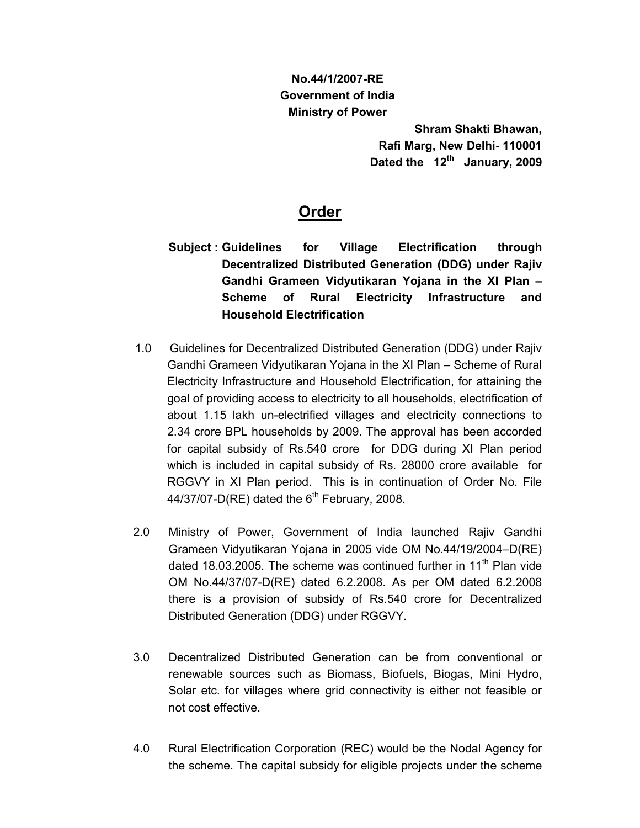# **No.44/1/2007-RE Government of India Ministry of Power**

**Shram Shakti Bhawan, Rafi Marg, New Delhi- 110001**  Dated the 12<sup>th</sup> January, 2009

# **Order**

- **Subject : Guidelines for Village Electrification through Decentralized Distributed Generation (DDG) under Rajiv Gandhi Grameen Vidyutikaran Yojana in the XI Plan – Scheme of Rural Electricity Infrastructure and Household Electrification**
- 1.0 Guidelines for Decentralized Distributed Generation (DDG) under Rajiv Gandhi Grameen Vidyutikaran Yojana in the XI Plan – Scheme of Rural Electricity Infrastructure and Household Electrification, for attaining the goal of providing access to electricity to all households, electrification of about 1.15 lakh un-electrified villages and electricity connections to 2.34 crore BPL households by 2009. The approval has been accorded for capital subsidy of Rs.540 crore for DDG during XI Plan period which is included in capital subsidy of Rs. 28000 crore available for RGGVY in XI Plan period. This is in continuation of Order No. File  $44/37/07$ -D(RE) dated the  $6<sup>th</sup>$  February, 2008.
- 2.0 Ministry of Power, Government of India launched Rajiv Gandhi Grameen Vidyutikaran Yojana in 2005 vide OM No.44/19/2004–D(RE) dated 18.03.2005. The scheme was continued further in 11<sup>th</sup> Plan vide OM No.44/37/07-D(RE) dated 6.2.2008. As per OM dated 6.2.2008 there is a provision of subsidy of Rs.540 crore for Decentralized Distributed Generation (DDG) under RGGVY.
- 3.0 Decentralized Distributed Generation can be from conventional or renewable sources such as Biomass, Biofuels, Biogas, Mini Hydro, Solar etc. for villages where grid connectivity is either not feasible or not cost effective.
- 4.0 Rural Electrification Corporation (REC) would be the Nodal Agency for the scheme. The capital subsidy for eligible projects under the scheme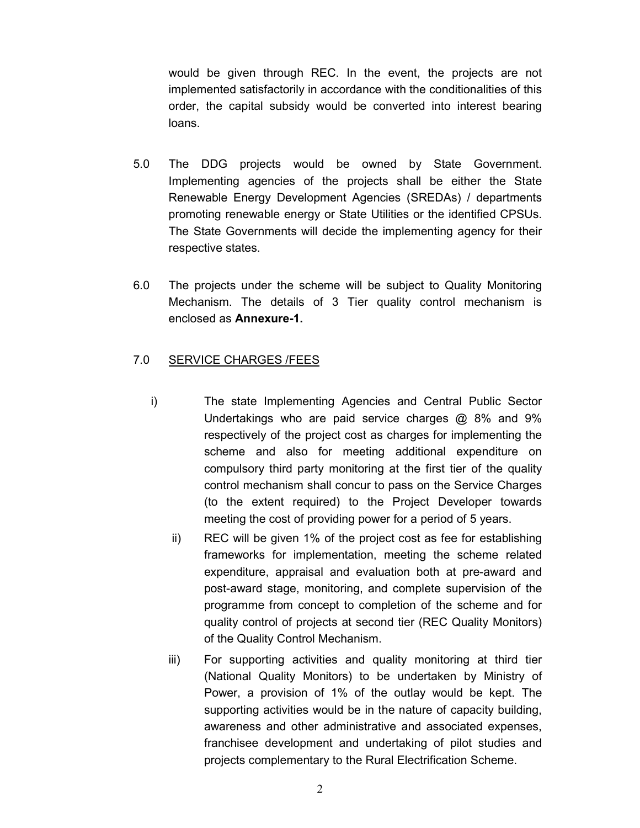would be given through REC. In the event, the projects are not implemented satisfactorily in accordance with the conditionalities of this order, the capital subsidy would be converted into interest bearing loans.

- 5.0 The DDG projects would be owned by State Government. Implementing agencies of the projects shall be either the State Renewable Energy Development Agencies (SREDAs) / departments promoting renewable energy or State Utilities or the identified CPSUs. The State Governments will decide the implementing agency for their respective states.
- 6.0 The projects under the scheme will be subject to Quality Monitoring Mechanism. The details of 3 Tier quality control mechanism is enclosed as **Annexure-1.**

#### 7.0 SERVICE CHARGES /FEES

- i) The state Implementing Agencies and Central Public Sector Undertakings who are paid service charges @ 8% and 9% respectively of the project cost as charges for implementing the scheme and also for meeting additional expenditure on compulsory third party monitoring at the first tier of the quality control mechanism shall concur to pass on the Service Charges (to the extent required) to the Project Developer towards meeting the cost of providing power for a period of 5 years.
	- ii) REC will be given 1% of the project cost as fee for establishing frameworks for implementation, meeting the scheme related expenditure, appraisal and evaluation both at pre-award and post-award stage, monitoring, and complete supervision of the programme from concept to completion of the scheme and for quality control of projects at second tier (REC Quality Monitors) of the Quality Control Mechanism.
	- iii) For supporting activities and quality monitoring at third tier (National Quality Monitors) to be undertaken by Ministry of Power, a provision of 1% of the outlay would be kept. The supporting activities would be in the nature of capacity building, awareness and other administrative and associated expenses, franchisee development and undertaking of pilot studies and projects complementary to the Rural Electrification Scheme.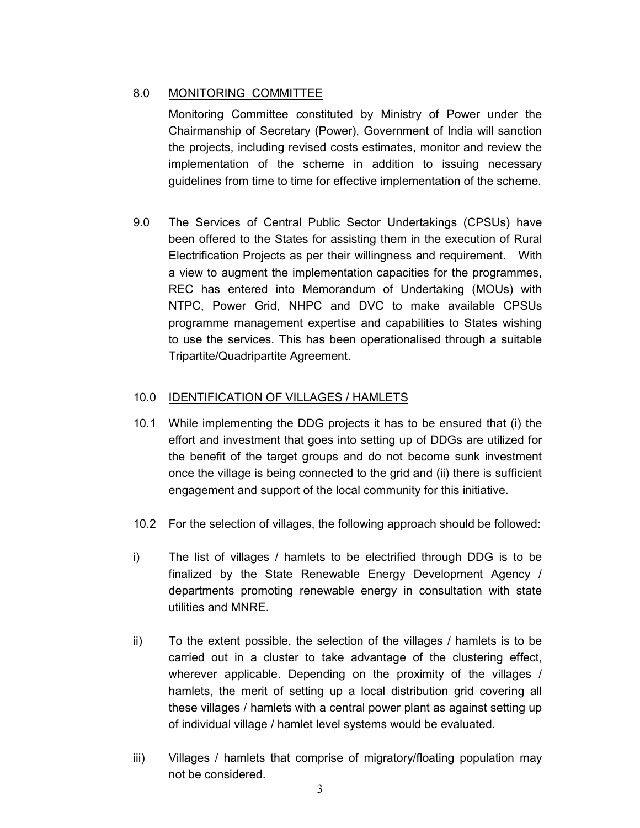# 8.0 MONITORING COMMITTEE

Monitoring Committee constituted by Ministry of Power under the Chairmanship of Secretary (Power), Government of India will sanction the projects, including revised costs estimates, monitor and review the implementation of the scheme in addition to issuing necessary guidelines from time to time for effective implementation of the scheme.

9.0 The Services of Central Public Sector Undertakings (CPSUs) have been offered to the States for assisting them in the execution of Rural Electrification Projects as per their willingness and requirement. With a view to augment the implementation capacities for the programmes, REC has entered into Memorandum of Undertaking (MOUs) with NTPC, Power Grid, NHPC and DVC to make available CPSUs programme management expertise and capabilities to States wishing to use the services. This has been operationalised through a suitable Tripartite/Quadripartite Agreement.

# 10.0 IDENTIFICATION OF VILLAGES / HAMLETS

- 10.1 While implementing the DDG projects it has to be ensured that (i) the effort and investment that goes into setting up of DDGs are utilized for the benefit of the target groups and do not become sunk investment once the village is being connected to the grid and (ii) there is sufficient engagement and support of the local community for this initiative.
- 10.2 For the selection of villages, the following approach should be followed:
- i) The list of villages / hamlets to be electrified through DDG is to be finalized by the State Renewable Energy Development Agency / departments promoting renewable energy in consultation with state utilities and MNRE.
- ii) To the extent possible, the selection of the villages / hamlets is to be carried out in a cluster to take advantage of the clustering effect, wherever applicable. Depending on the proximity of the villages / hamlets, the merit of setting up a local distribution grid covering all these villages / hamlets with a central power plant as against setting up of individual village / hamlet level systems would be evaluated.
- iii) Villages / hamlets that comprise of migratory/floating population may not be considered.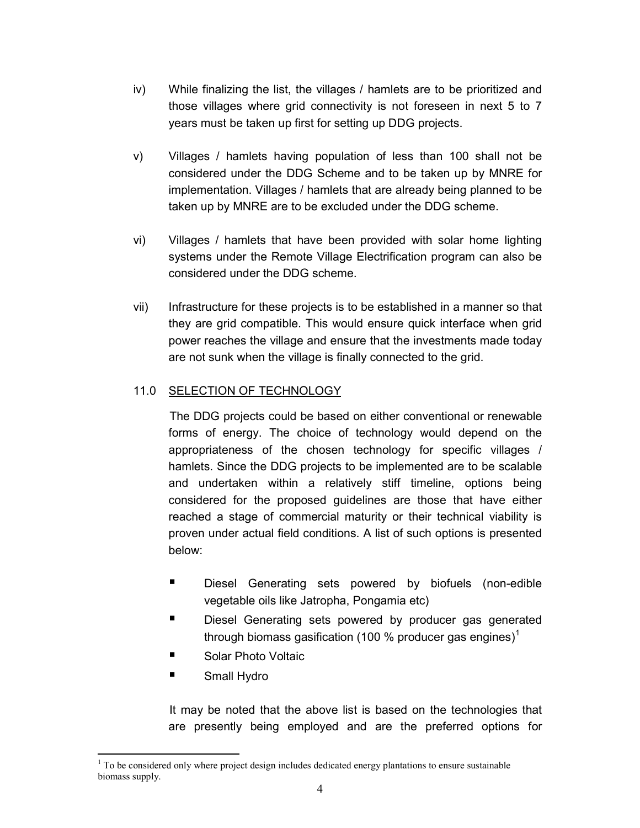- iv) While finalizing the list, the villages / hamlets are to be prioritized and those villages where grid connectivity is not foreseen in next 5 to 7 years must be taken up first for setting up DDG projects.
- v) Villages / hamlets having population of less than 100 shall not be considered under the DDG Scheme and to be taken up by MNRE for implementation. Villages / hamlets that are already being planned to be taken up by MNRE are to be excluded under the DDG scheme.
- vi) Villages / hamlets that have been provided with solar home lighting systems under the Remote Village Electrification program can also be considered under the DDG scheme.
- vii) Infrastructure for these projects is to be established in a manner so that they are grid compatible. This would ensure quick interface when grid power reaches the village and ensure that the investments made today are not sunk when the village is finally connected to the grid.

# 11.0 SELECTION OF TECHNOLOGY

 The DDG projects could be based on either conventional or renewable forms of energy. The choice of technology would depend on the appropriateness of the chosen technology for specific villages / hamlets. Since the DDG projects to be implemented are to be scalable and undertaken within a relatively stiff timeline, options being considered for the proposed guidelines are those that have either reached a stage of commercial maturity or their technical viability is proven under actual field conditions. A list of such options is presented below:

- - Diesel Generating sets powered by biofuels (non-edible vegetable oils like Jatropha, Pongamia etc)
- - Diesel Generating sets powered by producer gas generated through biomass gasification (100 % producer gas engines)<sup>1</sup>
- -Solar Photo Voltaic
- -Small Hydro

 $\overline{a}$ 

 It may be noted that the above list is based on the technologies that are presently being employed and are the preferred options for

 $1$  To be considered only where project design includes dedicated energy plantations to ensure sustainable biomass supply.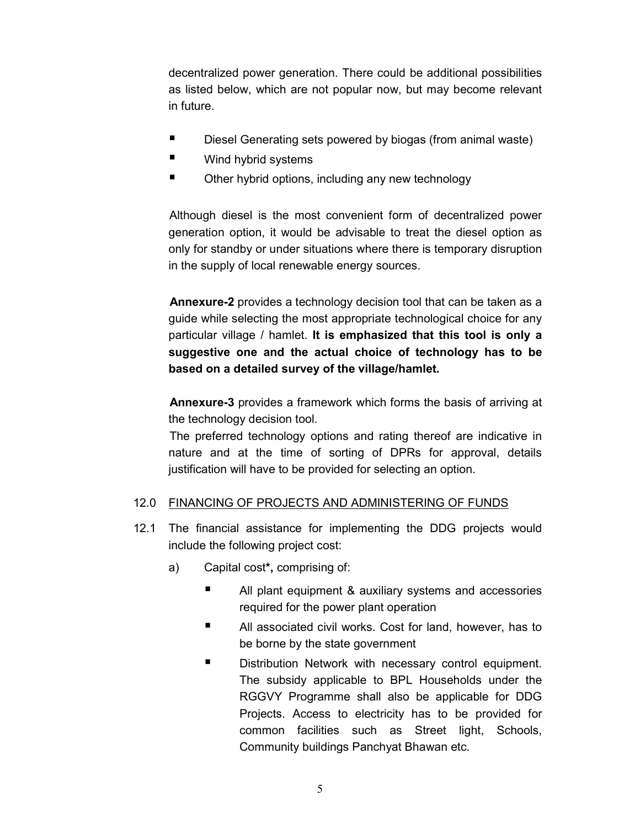decentralized power generation. There could be additional possibilities as listed below, which are not popular now, but may become relevant in future.

- -Diesel Generating sets powered by biogas (from animal waste)
- -Wind hybrid systems
- -Other hybrid options, including any new technology

 Although diesel is the most convenient form of decentralized power generation option, it would be advisable to treat the diesel option as only for standby or under situations where there is temporary disruption in the supply of local renewable energy sources.

 **Annexure-2** provides a technology decision tool that can be taken as a guide while selecting the most appropriate technological choice for any particular village / hamlet. **It is emphasized that this tool is only a suggestive one and the actual choice of technology has to be based on a detailed survey of the village/hamlet.** 

 **Annexure-3** provides a framework which forms the basis of arriving at the technology decision tool.

The preferred technology options and rating thereof are indicative in nature and at the time of sorting of DPRs for approval, details justification will have to be provided for selecting an option.

# 12.0 FINANCING OF PROJECTS AND ADMINISTERING OF FUNDS

- 12.1 The financial assistance for implementing the DDG projects would include the following project cost:
	- a) Capital cost**\*,** comprising of:
		- - All plant equipment & auxiliary systems and accessories required for the power plant operation
		- - All associated civil works. Cost for land, however, has to be borne by the state government
		- - Distribution Network with necessary control equipment. The subsidy applicable to BPL Households under the RGGVY Programme shall also be applicable for DDG Projects. Access to electricity has to be provided for common facilities such as Street light, Schools, Community buildings Panchyat Bhawan etc.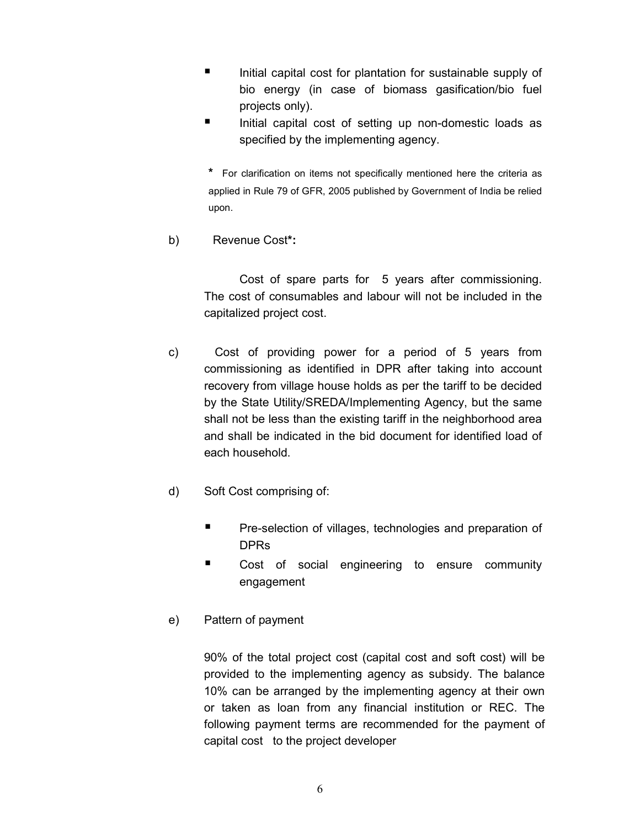- - Initial capital cost for plantation for sustainable supply of bio energy (in case of biomass gasification/bio fuel projects only).
- - Initial capital cost of setting up non-domestic loads as specified by the implementing agency.

**\*** For clarification on items not specifically mentioned here the criteria as applied in Rule 79 of GFR, 2005 published by Government of India be relied upon.

b) Revenue Cost**\*:**

Cost of spare parts for 5 years after commissioning. The cost of consumables and labour will not be included in the capitalized project cost.

- c) Cost of providing power for a period of 5 years from commissioning as identified in DPR after taking into account recovery from village house holds as per the tariff to be decided by the State Utility/SREDA/Implementing Agency, but the same shall not be less than the existing tariff in the neighborhood area and shall be indicated in the bid document for identified load of each household.
- d) Soft Cost comprising of:
	- - Pre-selection of villages, technologies and preparation of DPRs
	- - Cost of social engineering to ensure community engagement
- e) Pattern of payment

90% of the total project cost (capital cost and soft cost) will be provided to the implementing agency as subsidy. The balance 10% can be arranged by the implementing agency at their own or taken as loan from any financial institution or REC. The following payment terms are recommended for the payment of capital cost to the project developer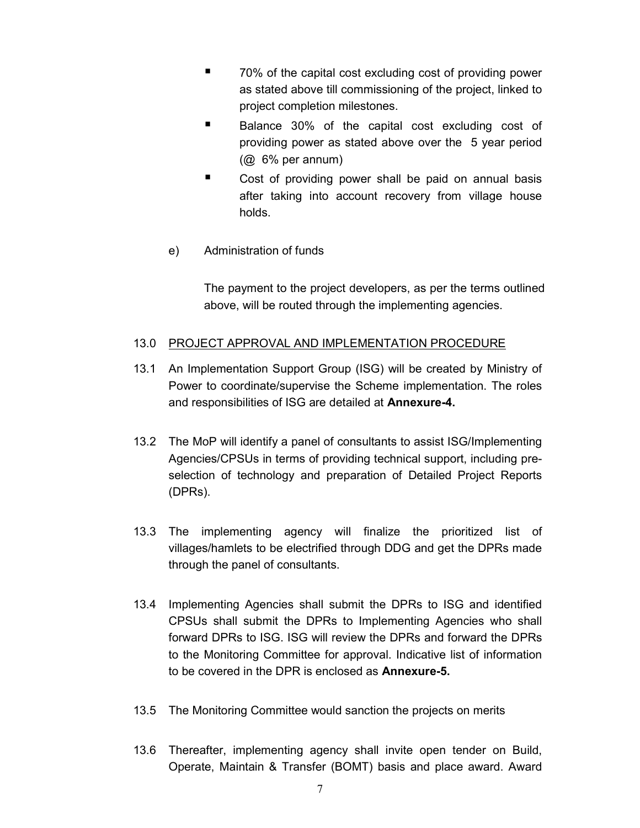- - 70% of the capital cost excluding cost of providing power as stated above till commissioning of the project, linked to project completion milestones.
- - Balance 30% of the capital cost excluding cost of providing power as stated above over the 5 year period (@ 6% per annum)
- - Cost of providing power shall be paid on annual basis after taking into account recovery from village house holds.
- e) Administration of funds

The payment to the project developers, as per the terms outlined above, will be routed through the implementing agencies.

# 13.0 PROJECT APPROVAL AND IMPLEMENTATION PROCEDURE

- 13.1 An Implementation Support Group (ISG) will be created by Ministry of Power to coordinate/supervise the Scheme implementation. The roles and responsibilities of ISG are detailed at **Annexure-4.**
- 13.2 The MoP will identify a panel of consultants to assist ISG/Implementing Agencies/CPSUs in terms of providing technical support, including preselection of technology and preparation of Detailed Project Reports (DPRs).
- 13.3 The implementing agency will finalize the prioritized list of villages/hamlets to be electrified through DDG and get the DPRs made through the panel of consultants.
- 13.4 Implementing Agencies shall submit the DPRs to ISG and identified CPSUs shall submit the DPRs to Implementing Agencies who shall forward DPRs to ISG. ISG will review the DPRs and forward the DPRs to the Monitoring Committee for approval. Indicative list of information to be covered in the DPR is enclosed as **Annexure-5.**
- 13.5 The Monitoring Committee would sanction the projects on merits
- 13.6 Thereafter, implementing agency shall invite open tender on Build, Operate, Maintain & Transfer (BOMT) basis and place award. Award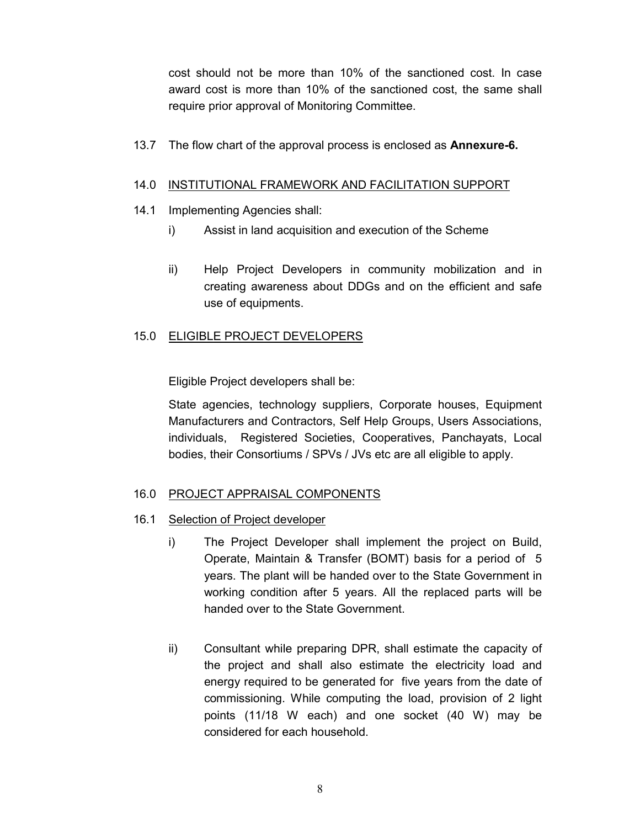cost should not be more than 10% of the sanctioned cost. In case award cost is more than 10% of the sanctioned cost, the same shall require prior approval of Monitoring Committee.

13.7 The flow chart of the approval process is enclosed as **Annexure-6.**

#### 14.0 INSTITUTIONAL FRAMEWORK AND FACILITATION SUPPORT

- 14.1 Implementing Agencies shall:
	- i) Assist in land acquisition and execution of the Scheme
	- ii) Help Project Developers in community mobilization and in creating awareness about DDGs and on the efficient and safe use of equipments.

#### 15.0ELIGIBLE PROJECT DEVELOPERS

Eligible Project developers shall be:

State agencies, technology suppliers, Corporate houses, Equipment Manufacturers and Contractors, Self Help Groups, Users Associations, individuals, Registered Societies, Cooperatives, Panchayats, Local bodies, their Consortiums / SPVs / JVs etc are all eligible to apply.

#### 16.0 PROJECT APPRAISAL COMPONENTS

- 16.1 Selection of Project developer
	- i) The Project Developer shall implement the project on Build, Operate, Maintain & Transfer (BOMT) basis for a period of 5 years. The plant will be handed over to the State Government in working condition after 5 years. All the replaced parts will be handed over to the State Government.
	- ii) Consultant while preparing DPR, shall estimate the capacity of the project and shall also estimate the electricity load and energy required to be generated for five years from the date of commissioning. While computing the load, provision of 2 light points (11/18 W each) and one socket (40 W) may be considered for each household.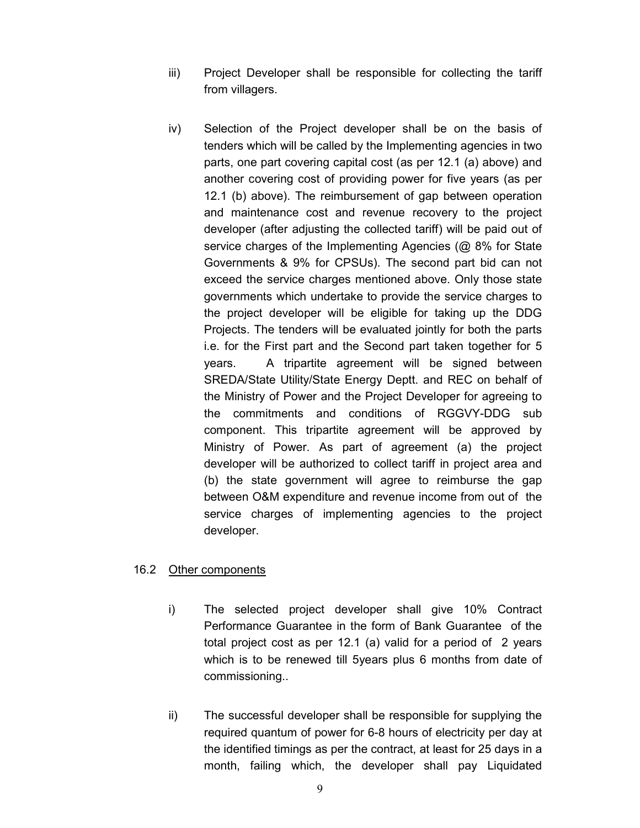- iii) Project Developer shall be responsible for collecting the tariff from villagers.
- iv) Selection of the Project developer shall be on the basis of tenders which will be called by the Implementing agencies in two parts, one part covering capital cost (as per 12.1 (a) above) and another covering cost of providing power for five years (as per 12.1 (b) above). The reimbursement of gap between operation and maintenance cost and revenue recovery to the project developer (after adjusting the collected tariff) will be paid out of service charges of the Implementing Agencies (@ 8% for State Governments & 9% for CPSUs). The second part bid can not exceed the service charges mentioned above. Only those state governments which undertake to provide the service charges to the project developer will be eligible for taking up the DDG Projects. The tenders will be evaluated jointly for both the parts i.e. for the First part and the Second part taken together for 5 years. A tripartite agreement will be signed between SREDA/State Utility/State Energy Deptt. and REC on behalf of the Ministry of Power and the Project Developer for agreeing to the commitments and conditions of RGGVY-DDG sub component. This tripartite agreement will be approved by Ministry of Power. As part of agreement (a) the project developer will be authorized to collect tariff in project area and (b) the state government will agree to reimburse the gap between O&M expenditure and revenue income from out of the service charges of implementing agencies to the project developer.

#### 16.2 Other components

- i) The selected project developer shall give 10% Contract Performance Guarantee in the form of Bank Guarantee of the total project cost as per 12.1 (a) valid for a period of 2 years which is to be renewed till 5years plus 6 months from date of commissioning..
- ii) The successful developer shall be responsible for supplying the required quantum of power for 6-8 hours of electricity per day at the identified timings as per the contract, at least for 25 days in a month, failing which, the developer shall pay Liquidated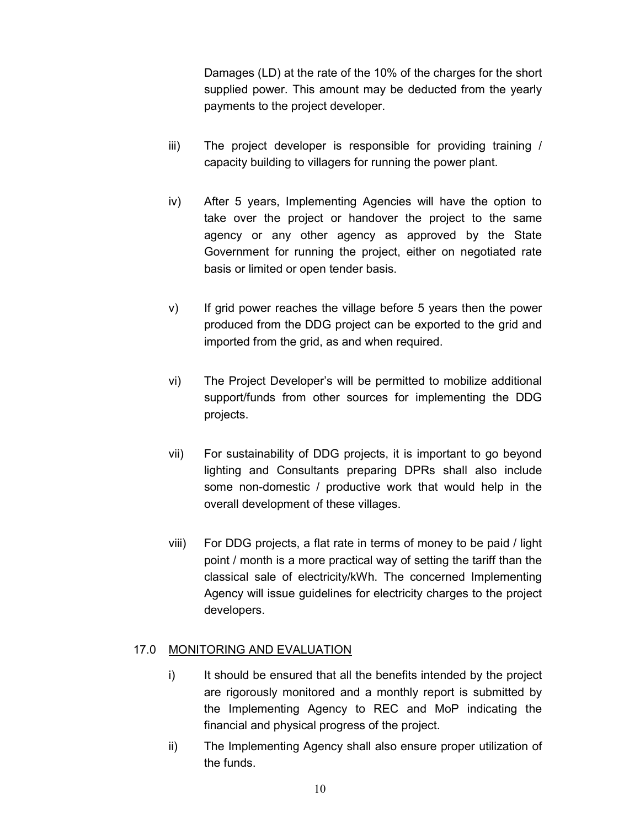Damages (LD) at the rate of the 10% of the charges for the short supplied power. This amount may be deducted from the yearly payments to the project developer.

- iii) The project developer is responsible for providing training / capacity building to villagers for running the power plant.
- iv) After 5 years, Implementing Agencies will have the option to take over the project or handover the project to the same agency or any other agency as approved by the State Government for running the project, either on negotiated rate basis or limited or open tender basis.
- v) If grid power reaches the village before 5 years then the power produced from the DDG project can be exported to the grid and imported from the grid, as and when required.
- vi) The Project Developer's will be permitted to mobilize additional support/funds from other sources for implementing the DDG projects.
- vii) For sustainability of DDG projects, it is important to go beyond lighting and Consultants preparing DPRs shall also include some non-domestic / productive work that would help in the overall development of these villages.
- viii) For DDG projects, a flat rate in terms of money to be paid / light point / month is a more practical way of setting the tariff than the classical sale of electricity/kWh. The concerned Implementing Agency will issue guidelines for electricity charges to the project developers.

# 17.0 MONITORING AND EVALUATION

- i) It should be ensured that all the benefits intended by the project are rigorously monitored and a monthly report is submitted by the Implementing Agency to REC and MoP indicating the financial and physical progress of the project.
- ii) The Implementing Agency shall also ensure proper utilization of the funds.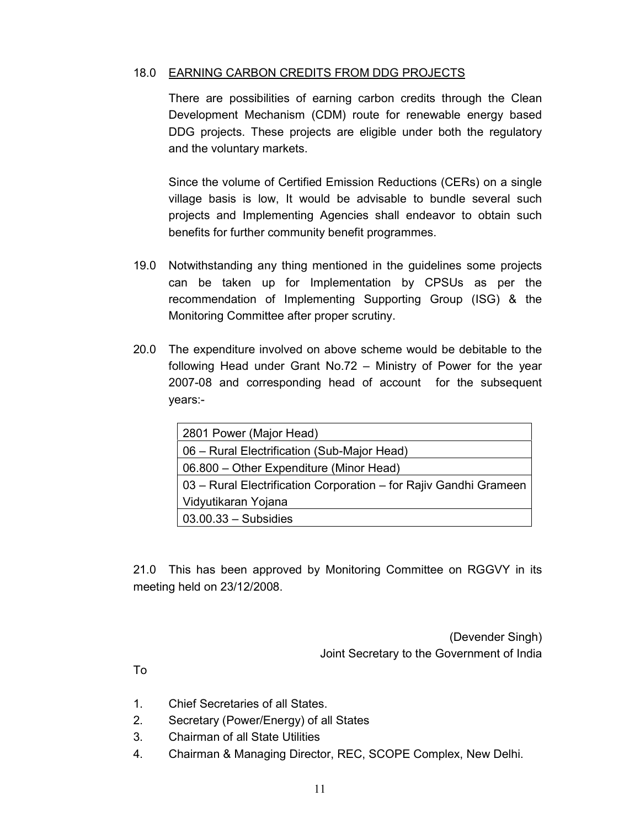#### 18.0 EARNING CARBON CREDITS FROM DDG PROJECTS

There are possibilities of earning carbon credits through the Clean Development Mechanism (CDM) route for renewable energy based DDG projects. These projects are eligible under both the regulatory and the voluntary markets.

Since the volume of Certified Emission Reductions (CERs) on a single village basis is low, It would be advisable to bundle several such projects and Implementing Agencies shall endeavor to obtain such benefits for further community benefit programmes.

- 19.0 Notwithstanding any thing mentioned in the guidelines some projects can be taken up for Implementation by CPSUs as per the recommendation of Implementing Supporting Group (ISG) & the Monitoring Committee after proper scrutiny.
- 20.0 The expenditure involved on above scheme would be debitable to the following Head under Grant No.72 – Ministry of Power for the year 2007-08 and corresponding head of account for the subsequent years:-

| 2801 Power (Major Head)                                           |
|-------------------------------------------------------------------|
| 06 – Rural Electrification (Sub-Major Head)                       |
| 06.800 – Other Expenditure (Minor Head)                           |
| 03 - Rural Electrification Corporation - for Rajiv Gandhi Grameen |
| Vidyutikaran Yojana                                               |
| $03.00.33 - Subsidies$                                            |

21.0 This has been approved by Monitoring Committee on RGGVY in its meeting held on 23/12/2008.

> (Devender Singh) Joint Secretary to the Government of India

To

- 1. Chief Secretaries of all States.
- 2. Secretary (Power/Energy) of all States
- 3. Chairman of all State Utilities
- 4. Chairman & Managing Director, REC, SCOPE Complex, New Delhi.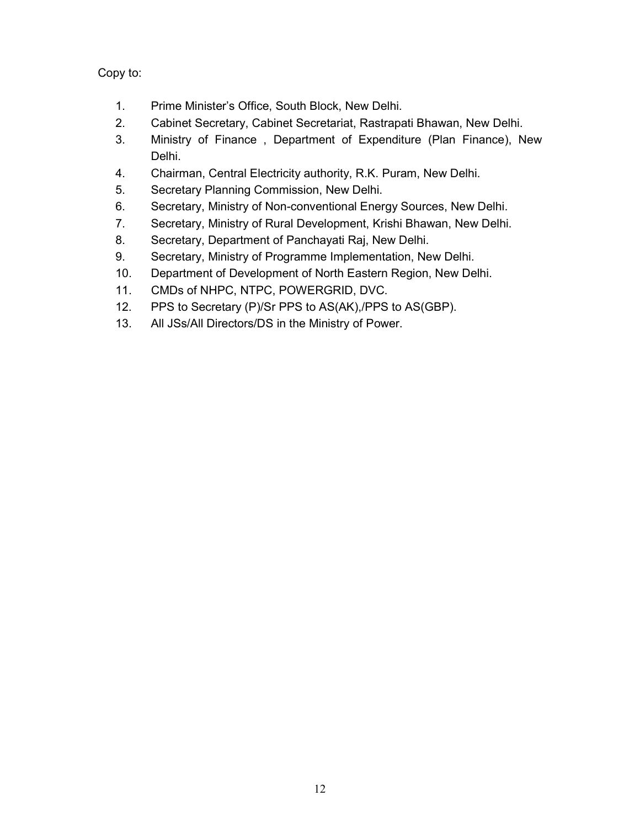Copy to:

- 1. Prime Minister's Office, South Block, New Delhi.
- 2. Cabinet Secretary, Cabinet Secretariat, Rastrapati Bhawan, New Delhi.
- 3. Ministry of Finance , Department of Expenditure (Plan Finance), New Delhi.
- 4. Chairman, Central Electricity authority, R.K. Puram, New Delhi.
- 5. Secretary Planning Commission, New Delhi.
- 6. Secretary, Ministry of Non-conventional Energy Sources, New Delhi.
- 7. Secretary, Ministry of Rural Development, Krishi Bhawan, New Delhi.
- 8. Secretary, Department of Panchayati Raj, New Delhi.
- 9. Secretary, Ministry of Programme Implementation, New Delhi.
- 10. Department of Development of North Eastern Region, New Delhi.
- 11. CMDs of NHPC, NTPC, POWERGRID, DVC.
- 12. PPS to Secretary (P)/Sr PPS to AS(AK),/PPS to AS(GBP).
- 13. All JSs/All Directors/DS in the Ministry of Power.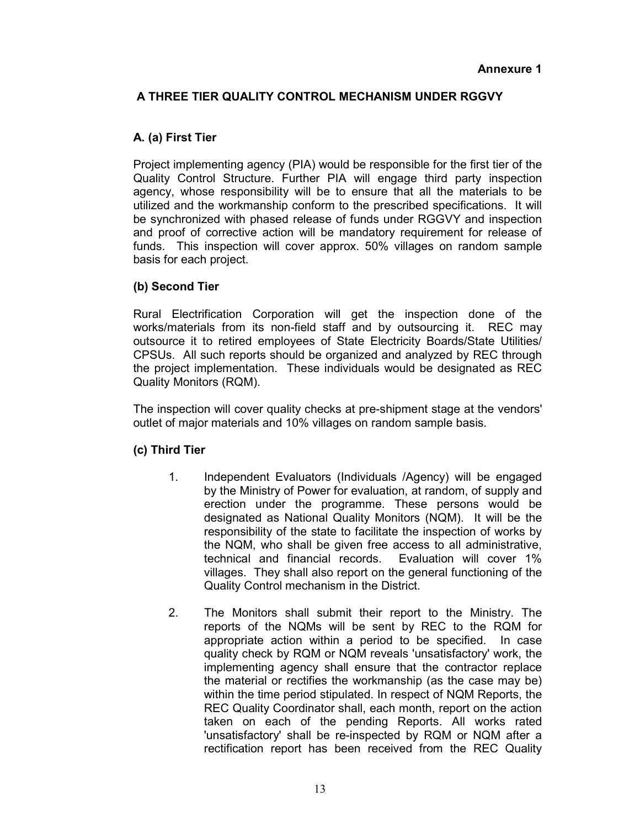# **A THREE TIER QUALITY CONTROL MECHANISM UNDER RGGVY**

#### **A. (a) First Tier**

Project implementing agency (PIA) would be responsible for the first tier of the Quality Control Structure. Further PIA will engage third party inspection agency, whose responsibility will be to ensure that all the materials to be utilized and the workmanship conform to the prescribed specifications. It will be synchronized with phased release of funds under RGGVY and inspection and proof of corrective action will be mandatory requirement for release of funds. This inspection will cover approx. 50% villages on random sample basis for each project.

#### **(b) Second Tier**

Rural Electrification Corporation will get the inspection done of the works/materials from its non-field staff and by outsourcing it. REC may outsource it to retired employees of State Electricity Boards/State Utilities/ CPSUs. All such reports should be organized and analyzed by REC through the project implementation. These individuals would be designated as REC Quality Monitors (RQM).

The inspection will cover quality checks at pre-shipment stage at the vendors' outlet of major materials and 10% villages on random sample basis.

#### **(c) Third Tier**

- 1. Independent Evaluators (Individuals /Agency) will be engaged by the Ministry of Power for evaluation, at random, of supply and erection under the programme. These persons would be designated as National Quality Monitors (NQM). It will be the responsibility of the state to facilitate the inspection of works by the NQM, who shall be given free access to all administrative, technical and financial records. Evaluation will cover 1% villages. They shall also report on the general functioning of the Quality Control mechanism in the District.
- 2. The Monitors shall submit their report to the Ministry. The reports of the NQMs will be sent by REC to the RQM for appropriate action within a period to be specified. In case quality check by RQM or NQM reveals 'unsatisfactory' work, the implementing agency shall ensure that the contractor replace the material or rectifies the workmanship (as the case may be) within the time period stipulated. In respect of NQM Reports, the REC Quality Coordinator shall, each month, report on the action taken on each of the pending Reports. All works rated 'unsatisfactory' shall be re-inspected by RQM or NQM after a rectification report has been received from the REC Quality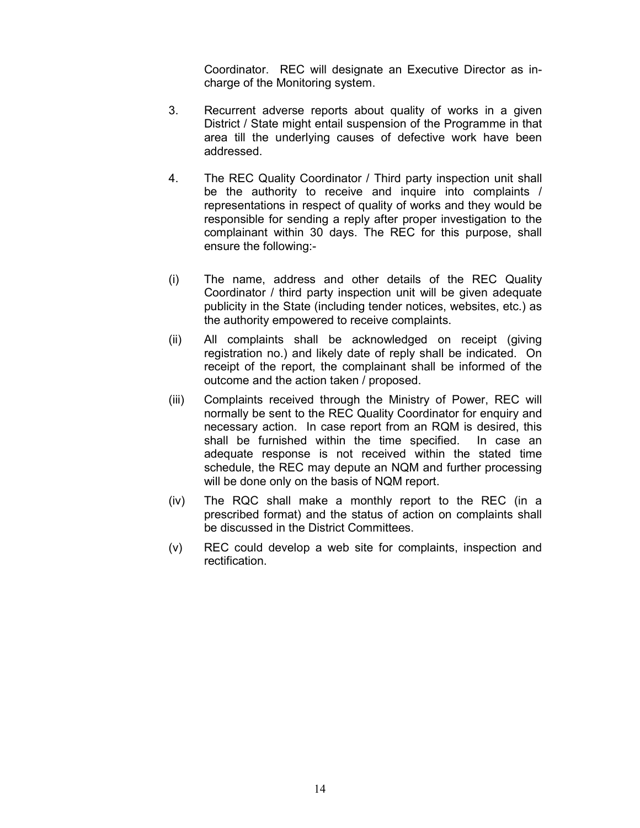Coordinator. REC will designate an Executive Director as incharge of the Monitoring system.

- 3. Recurrent adverse reports about quality of works in a given District / State might entail suspension of the Programme in that area till the underlying causes of defective work have been addressed.
- 4. The REC Quality Coordinator / Third party inspection unit shall be the authority to receive and inquire into complaints / representations in respect of quality of works and they would be responsible for sending a reply after proper investigation to the complainant within 30 days. The REC for this purpose, shall ensure the following:-
- (i) The name, address and other details of the REC Quality Coordinator / third party inspection unit will be given adequate publicity in the State (including tender notices, websites, etc.) as the authority empowered to receive complaints.
- (ii) All complaints shall be acknowledged on receipt (giving registration no.) and likely date of reply shall be indicated. On receipt of the report, the complainant shall be informed of the outcome and the action taken / proposed.
- (iii) Complaints received through the Ministry of Power, REC will normally be sent to the REC Quality Coordinator for enquiry and necessary action. In case report from an RQM is desired, this shall be furnished within the time specified. In case an adequate response is not received within the stated time schedule, the REC may depute an NQM and further processing will be done only on the basis of NQM report.
- (iv) The RQC shall make a monthly report to the REC (in a prescribed format) and the status of action on complaints shall be discussed in the District Committees.
- (v) REC could develop a web site for complaints, inspection and rectification.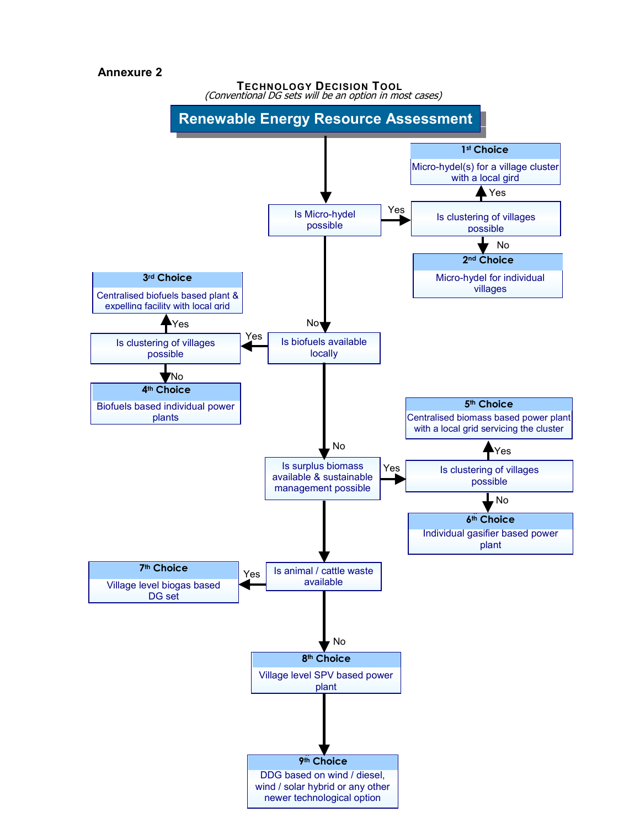#### **Annexure 2**

**TECHNOLOGY DECISION TOOL** (Conventional DG sets will be an option in most cases)

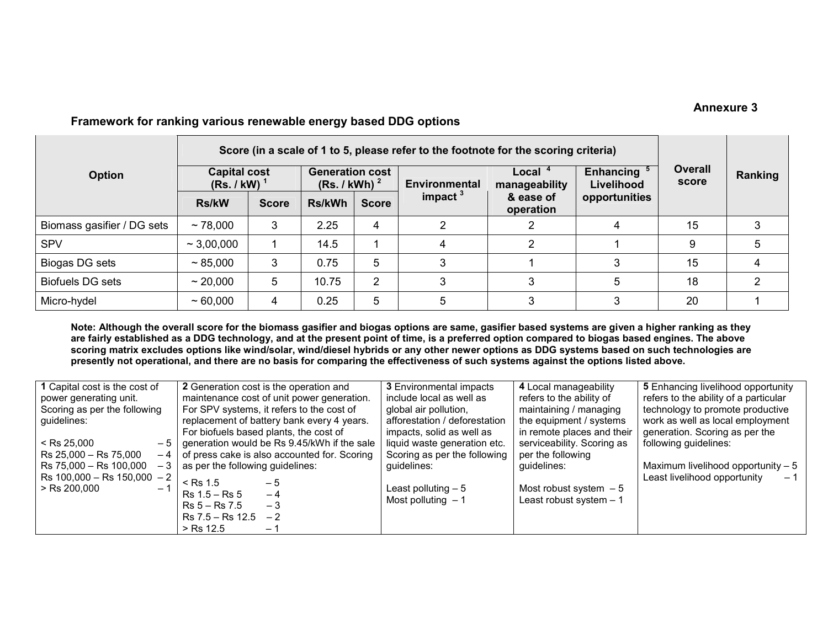#### **Annexure 3**

|                            | Score (in a scale of 1 to 5, please refer to the footnote for the scoring criteria) |              |                                                    |               |                      |                            |                                |                         |         |
|----------------------------|-------------------------------------------------------------------------------------|--------------|----------------------------------------------------|---------------|----------------------|----------------------------|--------------------------------|-------------------------|---------|
| <b>Option</b>              | <b>Capital cost</b><br>(Rs. / kW)                                                   |              | <b>Generation cost</b><br>(Rs. / kWh) <sup>2</sup> |               | <b>Environmental</b> | Local $4$<br>manageability | <b>Enhancing</b><br>Livelihood | <b>Overall</b><br>score | Ranking |
|                            | <b>Rs/kW</b>                                                                        | <b>Score</b> | <b>Rs/kWh</b>                                      | <b>Score</b>  | impact $3$           | & ease of<br>operation     | opportunities                  |                         |         |
| Biomass gasifier / DG sets | ~178,000                                                                            | 3            | 2.25                                               | 4             | 2                    |                            | 4                              | 15                      |         |
| <b>SPV</b>                 | $\sim$ 3,00,000                                                                     |              | 14.5                                               |               | 4                    | ົ                          |                                | 9                       | 5       |
| Biogas DG sets             | ~85,000                                                                             | 3            | 0.75                                               | 5             |                      |                            | 3                              | 15                      |         |
| <b>Biofuels DG sets</b>    | ~20,000                                                                             | 5            | 10.75                                              | $\mathcal{P}$ |                      |                            |                                | 18                      |         |
| Micro-hydel                | $~1$ 60,000                                                                         | 4            | 0.25                                               | 5             | 5                    |                            | 3                              | 20                      |         |

### **Framework for ranking various renewable energy based DDG options**

**Note: Although the overall score for the biomass gasifier and biogas options are same, gasifier based systems are given a higher ranking as they are fairly established as a DDG technology, and at the present point of time, is a preferred option compared to biogas based engines. The above**  scoring matrix excludes options like wind/solar, wind/diesel hybrids or any other newer options as DDG systems based on such technologies are **presently not operational, and there are no basis for comparing the effectiveness of such systems against the options listed above.** 

| 1 Capital cost is the cost of   | 2 Generation cost is the operation and       | <b>3</b> Environmental impacts                       | 4 Local manageability      | 5 Enhancing livelihood opportunity    |  |  |
|---------------------------------|----------------------------------------------|------------------------------------------------------|----------------------------|---------------------------------------|--|--|
| power generating unit.          | maintenance cost of unit power generation.   | refers to the ability of<br>include local as well as |                            | refers to the ability of a particular |  |  |
| Scoring as per the following    | For SPV systems, it refers to the cost of    | global air pollution,                                | maintaining / managing     | technology to promote productive      |  |  |
| guidelines:                     | replacement of battery bank every 4 years.   | afforestation / deforestation                        | the equipment / systems    | work as well as local employment      |  |  |
|                                 | For biofuels based plants, the cost of       | impacts, solid as well as                            | in remote places and their | generation. Scoring as per the        |  |  |
| $<$ Rs 25.000<br>$-5$           | generation would be Rs 9.45/kWh if the sale  | liquid waste generation etc.                         | serviceability. Scoring as | following guidelines:                 |  |  |
| Rs 25,000 - Rs 75,000<br>- 4    | of press cake is also accounted for. Scoring | Scoring as per the following                         | per the following          |                                       |  |  |
| Rs 75,000 - Rs 100,000<br>- 3   | as per the following guidelines:             | guidelines:                                          | guidelines:                | Maximum livelihood opportunity $-5$   |  |  |
| Rs $100,000 -$ Rs $150,000 - 2$ | $\le$ Rs 1.5<br>— 5                          |                                                      |                            | Least livelihood opportunity          |  |  |
| $>$ Rs 200.000<br>$-1$          | $Rs 1.5 - Rs 5$<br>$-4$                      | Least polluting $-5$                                 | Most robust system $-5$    |                                       |  |  |
|                                 | $Rs 5 - Rs 7.5$<br>$-3$                      | Most polluting $-1$                                  | Least robust system $-1$   |                                       |  |  |
|                                 | Rs 7.5 – Rs 12.5<br>$-2$                     |                                                      |                            |                                       |  |  |
|                                 | > Rs 12.5<br>-                               |                                                      |                            |                                       |  |  |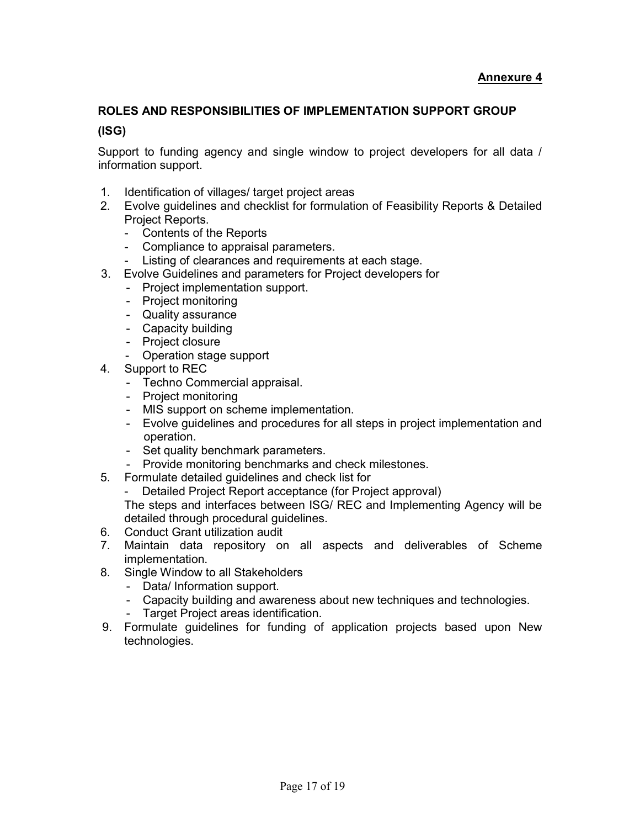# **ROLES AND RESPONSIBILITIES OF IMPLEMENTATION SUPPORT GROUP**

#### **(ISG)**

Support to funding agency and single window to project developers for all data / information support.

- 1. Identification of villages/ target project areas
- 2. Evolve guidelines and checklist for formulation of Feasibility Reports & Detailed Project Reports.
	- Contents of the Reports
	- Compliance to appraisal parameters.
	- Listing of clearances and requirements at each stage.
- 3. Evolve Guidelines and parameters for Project developers for
	- Project implementation support.
	- Project monitoring
	- Quality assurance
	- Capacity building
	- Project closure
	- Operation stage support
- 4. Support to REC
	- Techno Commercial appraisal.
	- Project monitoring
	- MIS support on scheme implementation.
	- Evolve guidelines and procedures for all steps in project implementation and operation.
	- Set quality benchmark parameters.
	- Provide monitoring benchmarks and check milestones.
- 5. Formulate detailed guidelines and check list for
	- Detailed Project Report acceptance (for Project approval)

The steps and interfaces between ISG/ REC and Implementing Agency will be detailed through procedural guidelines.

- 6. Conduct Grant utilization audit
- 7. Maintain data repository on all aspects and deliverables of Scheme implementation.
- 8. Single Window to all Stakeholders
	- Data/ Information support.
	- Capacity building and awareness about new techniques and technologies.<br>- Target Project areas identification
	- Target Project areas identification.
- 9. Formulate guidelines for funding of application projects based upon New technologies.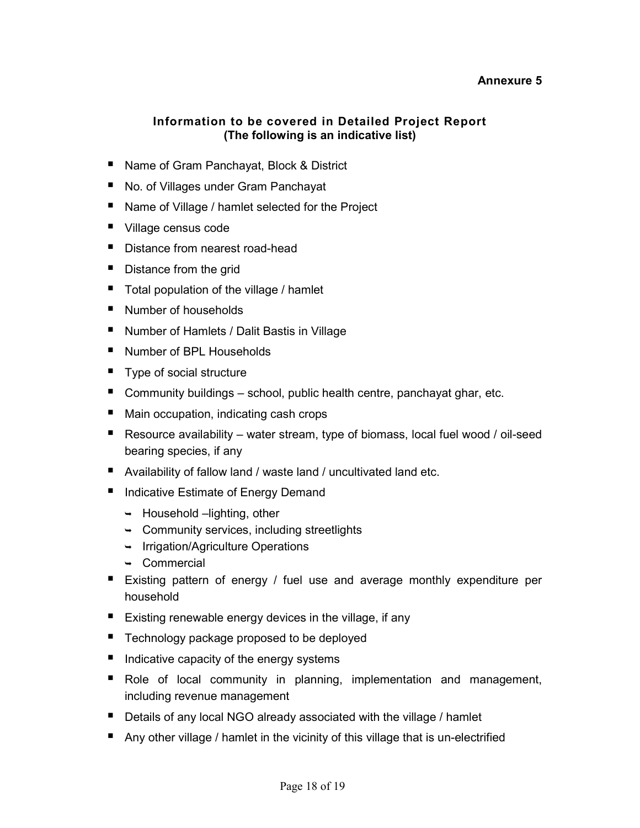#### **Annexure 5**

# **Information to be covered in Detailed Project Report (The following is an indicative list)**

- Name of Gram Panchayat, Block & District
- No. of Villages under Gram Panchayat
- Name of Village / hamlet selected for the Project
- Village census code
- **•** Distance from nearest road-head
- Distance from the grid
- **Total population of the village / hamlet**
- Number of households
- Number of Hamlets / Dalit Bastis in Village
- Number of BPL Households
- Type of social structure
- Community buildings school, public health centre, panchayat ghar, etc.
- Main occupation, indicating cash crops
- Resource availability water stream, type of biomass, local fuel wood / oil-seed bearing species, if any
- Availability of fallow land / waste land / uncultivated land etc.
- **E** Indicative Estimate of Energy Demand
	- → Household –lighting, other
	- $\rightarrow$  Community services, including streetlights
	- ← Irrigation/Agriculture Operations
	- -Commercial
- **Existing pattern of energy / fuel use and average monthly expenditure per** household
- Existing renewable energy devices in the village, if any
- Technology package proposed to be deployed
- Indicative capacity of the energy systems
- **•** Role of local community in planning, implementation and management, including revenue management
- Details of any local NGO already associated with the village / hamlet
- Any other village / hamlet in the vicinity of this village that is un-electrified